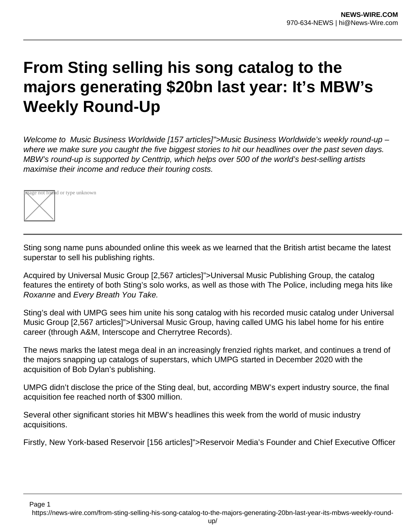## **From Sting selling his song catalog to the majors generating \$20bn last year: It's MBW's Weekly Round-Up**

Welcome to Music Business Worldwide [157 articles]">Music Business Worldwide's weekly round-up – where we make sure you caught the five biggest stories to hit our headlines over the past seven days. MBW's round-up is supported by Centtrip, which helps over 500 of the world's best-selling artists maximise their income and reduce their touring costs.



Sting song name puns abounded online this week as we learned that the British artist became the latest superstar to sell his publishing rights.

Acquired by Universal Music Group [2,567 articles]">Universal Music Publishing Group, the catalog features the entirety of both Sting's solo works, as well as those with The Police, including mega hits like Roxanne and Every Breath You Take.

Sting's deal with UMPG sees him unite his song catalog with his recorded music catalog under Universal Music Group [2,567 articles]">Universal Music Group, having called UMG his label home for his entire career (through A&M, Interscope and Cherrytree Records).

The news marks the latest mega deal in an increasingly frenzied rights market, and continues a trend of the majors snapping up catalogs of superstars, which UMPG started in December 2020 with the acquisition of Bob Dylan's publishing.

UMPG didn't disclose the price of the Sting deal, but, according MBW's expert industry source, the final acquisition fee reached north of \$300 million.

Several other significant stories hit MBW's headlines this week from the world of music industry acquisitions.

Firstly, New York-based Reservoir [156 articles]">Reservoir Media's Founder and Chief Executive Officer

Page 1

https://news-wire.com/from-sting-selling-his-song-catalog-to-the-majors-generating-20bn-last-year-its-mbws-weekly-round-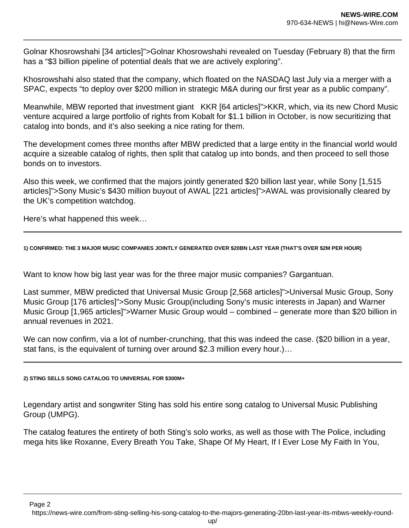Golnar Khosrowshahi [34 articles]">Golnar Khosrowshahi revealed on Tuesday (February 8) that the firm has a "\$3 billion pipeline of potential deals that we are actively exploring".

Khosrowshahi also stated that the company, which floated on the NASDAQ last July via a merger with a SPAC, expects "to deploy over \$200 million in strategic M&A during our first year as a public company".

Meanwhile, MBW reported that investment giant KKR [64 articles]">KKR, which, via its new Chord Music venture acquired a large portfolio of rights from Kobalt for \$1.1 billion in October, is now securitizing that catalog into bonds, and it's also seeking a nice rating for them.

The development comes three months after MBW predicted that a large entity in the financial world would acquire a sizeable catalog of rights, then split that catalog up into bonds, and then proceed to sell those bonds on to investors.

Also this week, we confirmed that the majors jointly generated \$20 billion last year, while Sony [1,515 articles]">Sony Music's \$430 million buyout of AWAL [221 articles]">AWAL was provisionally cleared by the UK's competition watchdog.

Here's what happened this week…

**1) CONFIRMED: THE 3 MAJOR MUSIC COMPANIES JOINTLY GENERATED OVER \$20BN LAST YEAR (THAT'S OVER \$2M PER HOUR)**

Want to know how big last year was for the three major music companies? Gargantuan.

Last summer, MBW predicted that Universal Music Group [2,568 articles]">Universal Music Group, Sony Music Group [176 articles]">Sony Music Group(including Sony's music interests in Japan) and Warner Music Group [1,965 articles]">Warner Music Group would – combined – generate more than \$20 billion in annual revenues in 2021.

We can now confirm, via a lot of number-crunching, that this was indeed the case. (\$20 billion in a year, stat fans, is the equivalent of turning over around \$2.3 million every hour.)…

**2) STING SELLS SONG CATALOG TO UNIVERSAL FOR \$300M+**

Legendary artist and songwriter Sting has sold his entire song catalog to Universal Music Publishing Group (UMPG).

The catalog features the entirety of both Sting's solo works, as well as those with The Police, including mega hits like Roxanne, Every Breath You Take, Shape Of My Heart, If I Ever Lose My Faith In You,

Page 2

https://news-wire.com/from-sting-selling-his-song-catalog-to-the-majors-generating-20bn-last-year-its-mbws-weekly-round-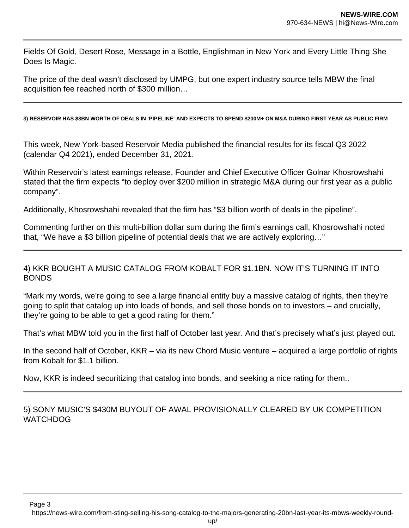Fields Of Gold, Desert Rose, Message in a Bottle, Englishman in New York and Every Little Thing She Does Is Magic.

The price of the deal wasn't disclosed by UMPG, but one expert industry source tells MBW the final acquisition fee reached north of \$300 million…

**3) RESERVOIR HAS \$3BN WORTH OF DEALS IN 'PIPELINE' AND EXPECTS TO SPEND \$200M+ ON M&A DURING FIRST YEAR AS PUBLIC FIRM**

This week, New York-based Reservoir Media published the financial results for its fiscal Q3 2022 (calendar Q4 2021), ended December 31, 2021.

Within Reservoir's latest earnings release, Founder and Chief Executive Officer Golnar Khosrowshahi stated that the firm expects "to deploy over \$200 million in strategic M&A during our first year as a public company".

Additionally, Khosrowshahi revealed that the firm has "\$3 billion worth of deals in the pipeline".

Commenting further on this multi-billion dollar sum during the firm's earnings call, Khosrowshahi noted that, "We have a \$3 billion pipeline of potential deals that we are actively exploring…"

## 4) KKR BOUGHT A MUSIC CATALOG FROM KOBALT FOR \$1.1BN. NOW IT'S TURNING IT INTO BONDS

"Mark my words, we're going to see a large financial entity buy a massive catalog of rights, then they're going to split that catalog up into loads of bonds, and sell those bonds on to investors – and crucially, they're going to be able to get a good rating for them."

That's what MBW told you in the first half of October last year. And that's precisely what's just played out.

In the second half of October, KKR – via its new Chord Music venture – acquired a large portfolio of rights from Kobalt for \$1.1 billion.

Now, KKR is indeed securitizing that catalog into bonds, and seeking a nice rating for them..

5) SONY MUSIC'S \$430M BUYOUT OF AWAL PROVISIONALLY CLEARED BY UK COMPETITION **WATCHDOG** 

Page 3

https://news-wire.com/from-sting-selling-his-song-catalog-to-the-majors-generating-20bn-last-year-its-mbws-weekly-round-